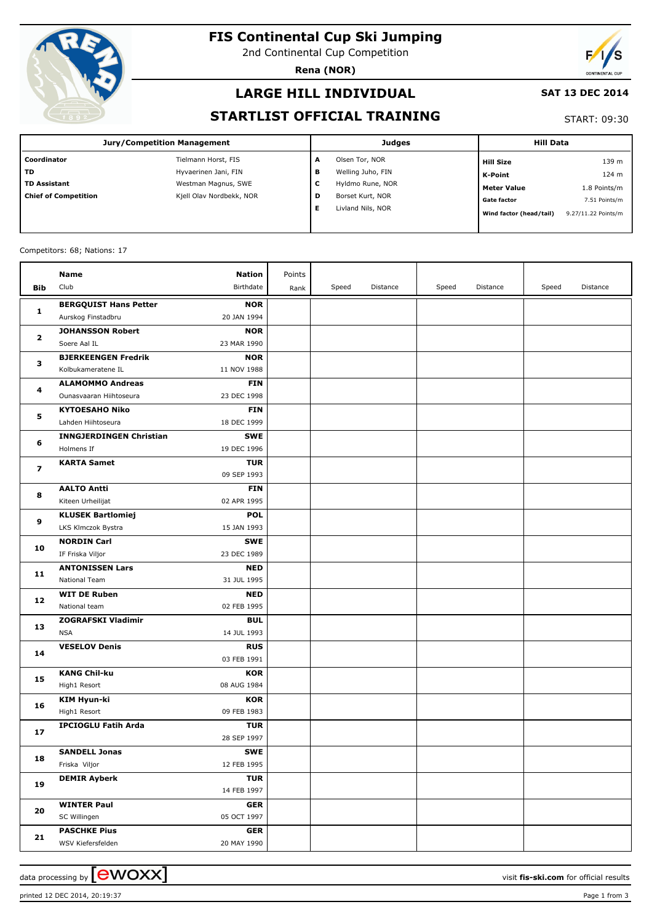

# **FIS Continental Cup Ski Jumping**

2nd Continental Cup Competition

**Rena (NOR)**



### **LARGE HILL INDIVIDUAL**

#### **SAT 13 DEC 2014**

### **STARTLIST OFFICIAL TRAINING**

START: 09:30

| Jury/Competition Management |                          |                        | <b>Judges</b>     | <b>Hill Data</b>        |                     |  |
|-----------------------------|--------------------------|------------------------|-------------------|-------------------------|---------------------|--|
| Coordinator                 | Tielmann Horst, FIS      | А                      | Olsen Tor, NOR    | <b>Hill Size</b>        | 139 m               |  |
| l TD                        | Hyvaerinen Jani, FIN     | в                      | Welling Juho, FIN | K-Point                 | 124 m               |  |
| TD Assistant                | Westman Magnus, SWE      | c                      | Hyldmo Rune, NOR  | <b>Meter Value</b>      | 1.8 Points/m        |  |
| Chief of Competition        | Kjell Olav Nordbekk, NOR | D                      | Borset Kurt, NOR  | <b>Gate factor</b>      | 7.51 Points/m       |  |
|                             |                          | Livland Nils, NOR<br>Е |                   | Wind factor (head/tail) | 9.27/11.22 Points/m |  |
|                             |                          |                        |                   |                         |                     |  |

#### Competitors: 68; Nations: 17

|              | <b>Name</b>                         | <b>Nation</b>             | Points |       |          |       |          |       |          |
|--------------|-------------------------------------|---------------------------|--------|-------|----------|-------|----------|-------|----------|
| Bib          | Club                                | Birthdate                 | Rank   | Speed | Distance | Speed | Distance | Speed | Distance |
|              | <b>BERGQUIST Hans Petter</b>        | <b>NOR</b>                |        |       |          |       |          |       |          |
| 1            | Aurskog Finstadbru                  | 20 JAN 1994               |        |       |          |       |          |       |          |
|              | <b>JOHANSSON Robert</b>             | <b>NOR</b>                |        |       |          |       |          |       |          |
| $\mathbf{z}$ | Soere Aal IL                        | 23 MAR 1990               |        |       |          |       |          |       |          |
|              | <b>BJERKEENGEN Fredrik</b>          | <b>NOR</b>                |        |       |          |       |          |       |          |
| з            | Kolbukameratene IL                  | 11 NOV 1988               |        |       |          |       |          |       |          |
|              | <b>ALAMOMMO Andreas</b>             | <b>FIN</b>                |        |       |          |       |          |       |          |
| 4            | Ounasvaaran Hiihtoseura             | 23 DEC 1998               |        |       |          |       |          |       |          |
|              | <b>KYTOESAHO Niko</b>               | <b>FIN</b>                |        |       |          |       |          |       |          |
| 5            | Lahden Hiihtoseura                  | 18 DEC 1999               |        |       |          |       |          |       |          |
|              | <b>INNGJERDINGEN Christian</b>      | <b>SWE</b>                |        |       |          |       |          |       |          |
| 6            | Holmens If                          | 19 DEC 1996               |        |       |          |       |          |       |          |
|              | <b>KARTA Samet</b>                  | <b>TUR</b>                |        |       |          |       |          |       |          |
| 7            |                                     | 09 SEP 1993               |        |       |          |       |          |       |          |
| 8            | <b>AALTO Antti</b>                  | <b>FIN</b>                |        |       |          |       |          |       |          |
|              | Kiteen Urheilijat                   | 02 APR 1995               |        |       |          |       |          |       |          |
| 9            | <b>KLUSEK Bartlomiej</b>            | <b>POL</b>                |        |       |          |       |          |       |          |
|              | LKS Klmczok Bystra                  | 15 JAN 1993               |        |       |          |       |          |       |          |
| 10           | <b>NORDIN Carl</b>                  | <b>SWE</b>                |        |       |          |       |          |       |          |
|              | IF Friska Viljor                    | 23 DEC 1989               |        |       |          |       |          |       |          |
| 11           | <b>ANTONISSEN Lars</b>              | <b>NED</b>                |        |       |          |       |          |       |          |
|              | <b>National Team</b>                | 31 JUL 1995               |        |       |          |       |          |       |          |
| 12           | <b>WIT DE Ruben</b>                 | <b>NED</b>                |        |       |          |       |          |       |          |
|              | National team                       | 02 FEB 1995               |        |       |          |       |          |       |          |
| 13           | <b>ZOGRAFSKI Vladimir</b>           | <b>BUL</b>                |        |       |          |       |          |       |          |
|              | <b>NSA</b>                          | 14 JUL 1993               |        |       |          |       |          |       |          |
| 14           | <b>VESELOV Denis</b>                | <b>RUS</b>                |        |       |          |       |          |       |          |
|              |                                     | 03 FEB 1991               |        |       |          |       |          |       |          |
| 15           | <b>KANG Chil-ku</b><br>High1 Resort | <b>KOR</b><br>08 AUG 1984 |        |       |          |       |          |       |          |
|              | <b>KIM Hyun-ki</b>                  |                           |        |       |          |       |          |       |          |
| 16           | High1 Resort                        | <b>KOR</b><br>09 FEB 1983 |        |       |          |       |          |       |          |
|              | <b>IPCIOGLU Fatih Arda</b>          | <b>TUR</b>                |        |       |          |       |          |       |          |
| 17           |                                     | 28 SEP 1997               |        |       |          |       |          |       |          |
|              | <b>SANDELL Jonas</b>                | <b>SWE</b>                |        |       |          |       |          |       |          |
| 18           | Friska Viljor                       | 12 FEB 1995               |        |       |          |       |          |       |          |
|              | <b>DEMIR Ayberk</b>                 | <b>TUR</b>                |        |       |          |       |          |       |          |
| 19           |                                     | 14 FEB 1997               |        |       |          |       |          |       |          |
|              | <b>WINTER Paul</b>                  | GER                       |        |       |          |       |          |       |          |
| 20           | SC Willingen                        | 05 OCT 1997               |        |       |          |       |          |       |          |
|              | <b>PASCHKE Pius</b>                 | <b>GER</b>                |        |       |          |       |          |       |          |
| 21           | WSV Kiefersfelden                   | 20 MAY 1990               |        |       |          |       |          |       |          |
|              |                                     |                           |        |       |          |       |          |       |          |

data processing by **CWOXX**  $\blacksquare$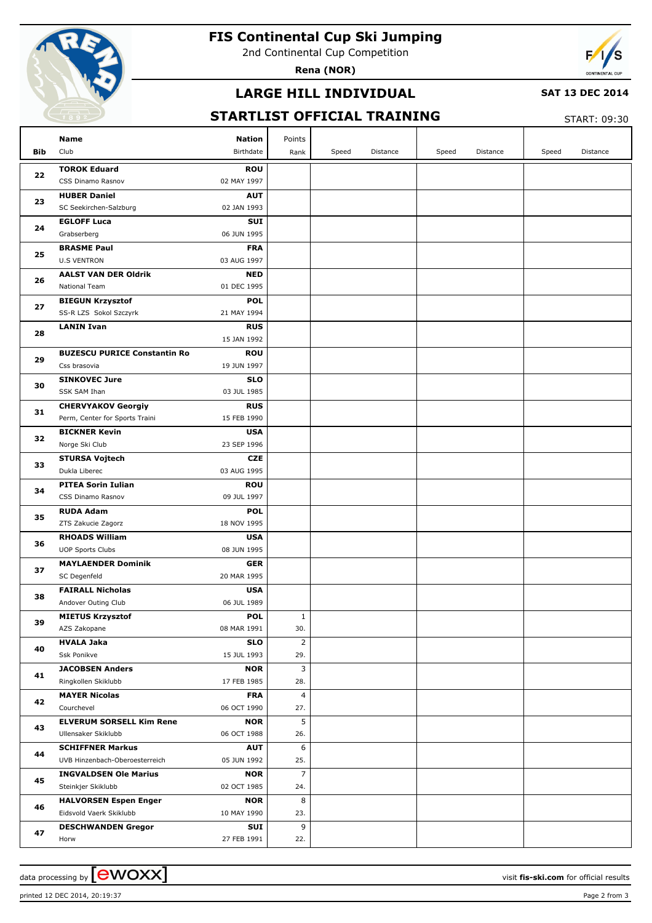

# **FIS Continental Cup Ski Jumping**

2nd Continental Cup Competition

**Rena (NOR)**



### **LARGE HILL INDIVIDUAL**

#### **SAT 13 DEC 2014**

### **STARTLIST OFFICIAL TRAINING**

START: 09:30

|     | <b>Name</b>                                         | <b>Nation</b>             | Points                |       |          |       |          |       |          |
|-----|-----------------------------------------------------|---------------------------|-----------------------|-------|----------|-------|----------|-------|----------|
| Bib | Club                                                | Birthdate                 | Rank                  | Speed | Distance | Speed | Distance | Speed | Distance |
|     | <b>TOROK Eduard</b>                                 | <b>ROU</b>                |                       |       |          |       |          |       |          |
| 22  | CSS Dinamo Rasnov                                   | 02 MAY 1997               |                       |       |          |       |          |       |          |
|     | <b>HUBER Daniel</b>                                 | <b>AUT</b>                |                       |       |          |       |          |       |          |
| 23  | SC Seekirchen-Salzburg                              | 02 JAN 1993               |                       |       |          |       |          |       |          |
| 24  | <b>EGLOFF Luca</b>                                  | SUI                       |                       |       |          |       |          |       |          |
|     | Grabserberg                                         | 06 JUN 1995               |                       |       |          |       |          |       |          |
| 25  | <b>BRASME Paul</b>                                  | <b>FRA</b>                |                       |       |          |       |          |       |          |
|     | <b>U.S VENTRON</b>                                  | 03 AUG 1997               |                       |       |          |       |          |       |          |
| 26  | <b>AALST VAN DER Oldrik</b>                         | <b>NED</b>                |                       |       |          |       |          |       |          |
|     | <b>National Team</b>                                | 01 DEC 1995               |                       |       |          |       |          |       |          |
| 27  | <b>BIEGUN Krzysztof</b>                             | <b>POL</b>                |                       |       |          |       |          |       |          |
|     | SS-R LZS Sokol Szczyrk                              | 21 MAY 1994               |                       |       |          |       |          |       |          |
| 28  | <b>LANIN Ivan</b>                                   | <b>RUS</b>                |                       |       |          |       |          |       |          |
|     |                                                     | 15 JAN 1992               |                       |       |          |       |          |       |          |
| 29  | <b>BUZESCU PURICE Constantin Ro</b><br>Css brasovia | <b>ROU</b><br>19 JUN 1997 |                       |       |          |       |          |       |          |
|     | <b>SINKOVEC Jure</b>                                | <b>SLO</b>                |                       |       |          |       |          |       |          |
| 30  | SSK SAM Ihan                                        | 03 JUL 1985               |                       |       |          |       |          |       |          |
|     | <b>CHERVYAKOV Georgiy</b>                           | <b>RUS</b>                |                       |       |          |       |          |       |          |
| 31  | Perm, Center for Sports Traini                      | 15 FEB 1990               |                       |       |          |       |          |       |          |
|     | <b>BICKNER Kevin</b>                                | <b>USA</b>                |                       |       |          |       |          |       |          |
| 32  | Norge Ski Club                                      | 23 SEP 1996               |                       |       |          |       |          |       |          |
|     | <b>STURSA Vojtech</b>                               | <b>CZE</b>                |                       |       |          |       |          |       |          |
| 33  | Dukla Liberec                                       | 03 AUG 1995               |                       |       |          |       |          |       |          |
| 34  | <b>PITEA Sorin Iulian</b>                           | <b>ROU</b>                |                       |       |          |       |          |       |          |
|     | CSS Dinamo Rasnov                                   | 09 JUL 1997               |                       |       |          |       |          |       |          |
|     | <b>RUDA Adam</b>                                    | <b>POL</b>                |                       |       |          |       |          |       |          |
| 35  | ZTS Zakucie Zagorz                                  | 18 NOV 1995               |                       |       |          |       |          |       |          |
| 36  | <b>RHOADS William</b>                               | <b>USA</b>                |                       |       |          |       |          |       |          |
|     | <b>UOP Sports Clubs</b>                             | 08 JUN 1995               |                       |       |          |       |          |       |          |
| 37  | <b>MAYLAENDER Dominik</b>                           | <b>GER</b>                |                       |       |          |       |          |       |          |
|     | SC Degenfeld                                        | 20 MAR 1995               |                       |       |          |       |          |       |          |
| 38  | <b>FAIRALL Nicholas</b>                             | <b>USA</b>                |                       |       |          |       |          |       |          |
|     | Andover Outing Club                                 | 06 JUL 1989               |                       |       |          |       |          |       |          |
| 39  | <b>MIETUS Krzysztof</b>                             | <b>POL</b>                | $\mathbf{1}$          |       |          |       |          |       |          |
|     | AZS Zakopane<br><b>HVALA Jaka</b>                   | 08 MAR 1991               | 30.                   |       |          |       |          |       |          |
| 40  | Ssk Ponikve                                         | <b>SLO</b><br>15 JUL 1993 | $\overline{2}$<br>29. |       |          |       |          |       |          |
|     | <b>JACOBSEN Anders</b>                              | <b>NOR</b>                | 3                     |       |          |       |          |       |          |
| 41  | Ringkollen Skiklubb                                 | 17 FEB 1985               | 28.                   |       |          |       |          |       |          |
|     | <b>MAYER Nicolas</b>                                | <b>FRA</b>                | $\overline{4}$        |       |          |       |          |       |          |
| 42  | Courchevel                                          | 06 OCT 1990               | 27.                   |       |          |       |          |       |          |
|     | <b>ELVERUM SORSELL Kim Rene</b>                     | <b>NOR</b>                | 5                     |       |          |       |          |       |          |
| 43  | Ullensaker Skiklubb                                 | 06 OCT 1988               | 26.                   |       |          |       |          |       |          |
|     | <b>SCHIFFNER Markus</b>                             | <b>AUT</b>                | 6                     |       |          |       |          |       |          |
| 44  | UVB Hinzenbach-Oberoesterreich                      | 05 JUN 1992               | 25.                   |       |          |       |          |       |          |
|     | <b>INGVALDSEN Ole Marius</b>                        | <b>NOR</b>                | $\overline{7}$        |       |          |       |          |       |          |
| 45  | Steinkjer Skiklubb                                  | 02 OCT 1985               | 24.                   |       |          |       |          |       |          |
| 46  | <b>HALVORSEN Espen Enger</b>                        | <b>NOR</b>                | 8                     |       |          |       |          |       |          |
|     | Eidsvold Vaerk Skiklubb                             | 10 MAY 1990               | 23.                   |       |          |       |          |       |          |
| 47  | <b>DESCHWANDEN Gregor</b>                           | SUI                       | 9                     |       |          |       |          |       |          |
|     | Horw                                                | 27 FEB 1991               | 22.                   |       |          |       |          |       |          |